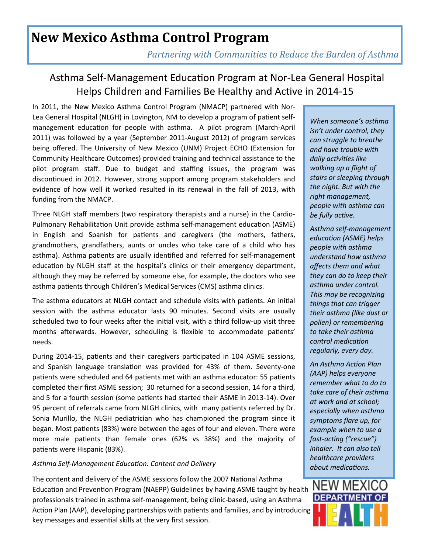## **New Mexico Asthma Control Program**

*Partnering with Communities to Reduce the Burden of Asthma* 

## Asthma Self-Management Education Program at Nor-Lea General Hospital Helps Children and Families Be Healthy and Active in 2014-15

In 2011, the New Mexico Asthma Control Program (NMACP) partnered with Nor-Lea General Hospital (NLGH) in Lovington, NM to develop a program of patient selfmanagement education for people with asthma. A pilot program (March-April 2011) was followed by a year (September 2011-August 2012) of program services being offered. The University of New Mexico (UNM) Project ECHO (Extension for Community Healthcare Outcomes) provided training and technical assistance to the pilot program staff. Due to budget and staffing issues, the program was discontinued in 2012. However, strong support among program stakeholders and evidence of how well it worked resulted in its renewal in the fall of 2013, with funding from the NMACP.

Three NLGH staff members (two respiratory therapists and a nurse) in the Cardio-Pulmonary Rehabilitation Unit provide asthma self-management education (ASME) in English and Spanish for patients and caregivers (the mothers, fathers, grandmothers, grandfathers, aunts or uncles who take care of a child who has asthma). Asthma patients are usually identified and referred for self-management education by NLGH staff at the hospital's clinics or their emergency department, although they may be referred by someone else, for example, the doctors who see asthma patients through Children's Medical Services (CMS) asthma clinics.

The asthma educators at NLGH contact and schedule visits with patients. An initial session with the asthma educator lasts 90 minutes. Second visits are usually scheduled two to four weeks after the initial visit, with a third follow-up visit three months afterwards. However, scheduling is flexible to accommodate patients' needs.

During 2014-15, patients and their caregivers participated in 104 ASME sessions, and Spanish language translation was provided for 43% of them. Seventy-one patients were scheduled and 64 patients met with an asthma educator: 55 patients completed their first ASME session; 30 returned for a second session, 14 for a third, and 5 for a fourth session (some patients had started their ASME in 2013-14). Over 95 percent of referrals came from NLGH clinics, with many patients referred by Dr. Sonia Murillo, the NLGH pediatrician who has championed the program since it began. Most patients (83%) were between the ages of four and eleven. There were more male patients than female ones  $(62\% \text{ vs } 38\%)$  and the majority of patients were Hispanic (83%).

### Asthma Self-Management Education: Content and Delivery

The content and delivery of the ASME sessions follow the 2007 National Asthma Education and Prevention Program (NAEPP) Guidelines by having ASME taught by health professionals trained in asthma self-management, being clinic-based, using an Asthma Action Plan (AAP), developing partnerships with patients and families, and by introducing key messages and essential skills at the very first session.

*When someone's asthma isn't under control, they can struggle to breathe and have trouble with*  daily activities like *walking up a flight of stairs or sleeping through the night. But with the right management, people with asthma can be fully active.* 

*Asthma self-management education (ASME) helps people with asthma understand how asthma affects them and what they can do to keep their asthma under control. This may be recognizing things that can trigger their asthma (like dust or pollen) or remembering to take their asthma control medication regularly, every day.* 

**An Asthma Action Plan** *(AAP) helps everyone remember what to do to take care of their asthma at work and at school; especially when asthma symptoms flare up, for example when to use a fast-acting ("rescue") inhaler. It can also tell healthcare providers about medications.*